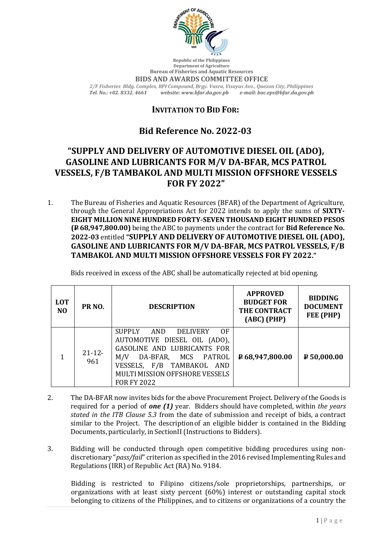

**Republic of the Philippines Department of Agriculture Bureau of Fisheries and Aquatic Resources BIDS AND AWARDS COMMITTEE OFFICE** *2/F Fisheries Bldg. Complex, BPI Compound, Brgy. Vasra, Visayas Ave., Quezon City, Philippines* 

*Tel. No.: +02. 8332. 4661 website: www.bfar.da.gov.ph e-mail: bac.eps@bfar.da.gov.ph*

## **INVITATION TO BID FOR:**

## **Bid Reference No. 2022-03**

## **"SUPPLY AND DELIVERY OF AUTOMOTIVE DIESEL OIL (ADO), GASOLINE AND LUBRICANTS FOR M/V DA-BFAR, MCS PATROL VESSELS, F/B TAMBAKOL AND MULTI MISSION OFFSHORE VESSELS FOR FY 2022"**

1. The Bureau of Fisheries and Aquatic Resources (BFAR) of the Department of Agriculture, through the General Appropriations Act for 2022 intends to apply the sums of **SIXTY-EIGHT MILLION NINE HUNDRED FORTY-SEVEN THOUSAND EIGHT HUNDRED PESOS (P 68,947,800.00)** being the ABC to payments under the contract for **Bid Reference No. 2022-03** entitled **"SUPPLY AND DELIVERY OF AUTOMOTIVE DIESEL OIL (ADO), GASOLINE AND LUBRICANTS FOR M/V DA-BFAR, MCS PATROL VESSELS, F/B TAMBAKOL AND MULTI MISSION OFFSHORE VESSELS FOR FY 2022."**

Bids received in excess of the ABC shall be automatically rejected at bid opening.

| <b>LOT</b><br>N <sub>O</sub> | PR <sub>NO</sub> . | <b>DESCRIPTION</b>                                                                                                                                                                                                                          | <b>APPROVED</b><br><b>BUDGET FOR</b><br>THE CONTRACT<br>$(ABC)$ (PHP) | <b>BIDDING</b><br><b>DOCUMENT</b><br>FEE (PHP) |
|------------------------------|--------------------|---------------------------------------------------------------------------------------------------------------------------------------------------------------------------------------------------------------------------------------------|-----------------------------------------------------------------------|------------------------------------------------|
|                              | $21 - 12$<br>961   | 0 <sub>F</sub><br>SUPPLY<br>AND<br><b>DELIVERY</b><br>AUTOMOTIVE DIESEL OIL (ADO),<br>GASOLINE AND LUBRICANTS FOR<br>DA-BFAR, MCS PATROL<br>M/V<br>VESSELS, F/B TAMBAKOL AND<br><b>MULTI MISSION OFFSHORE VESSELS</b><br><b>FOR FY 2022</b> | $\sqrt{P}$ 68,947,800.00                                              | P 50,000.00                                    |

- 2. The DA-BFAR now invites bids for the above Procurement Project. Delivery of the Goods is required for a period of *one (1)* year. Bidders should have completed, within *the years stated in the ITB Clause 5.3* from the date of submission and receipt of bids, a contract similar to the Project. The descriptionof an eligible bidder is contained in the Bidding Documents, particularly, in SectionII (Instructions to Bidders).
- 3. Bidding will be conducted through open competitive bidding procedures using nondiscretionary "*pass/fail*" criterion as specified in the 2016 revised Implementing Rules and Regulations (IRR) of Republic Act (RA) No. 9184.

Bidding is restricted to Filipino citizens/sole proprietorships, partnerships, or organizations with at least sixty percent (60%) interest or outstanding capital stock belonging to citizens of the Philippines, and to citizens or organizations of a country the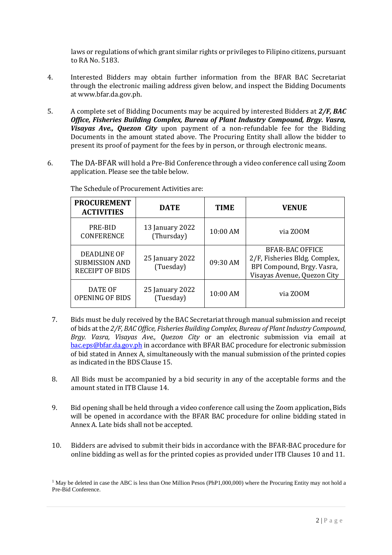laws or regulations of which grant similar rights or privileges to Filipino citizens, pursuant to RA No. 5183.

- 4. Interested Bidders may obtain further information from the BFAR BAC Secretariat through the electronic mailing address given below, and inspect the Bidding Documents at www.bfar.da.gov.ph.
- 5. A complete set of Bidding Documents may be acquired by interested Bidders at *2/F, BAC Office, Fisheries Building Complex, Bureau of Plant Industry Compound, Brgy. Vasra, Visayas Ave., Quezon City* upon payment of a non-refundable fee for the Bidding Documents in the amount stated above. The Procuring Entity shall allow the bidder to present its proof of payment for the fees by in person, or through electronic means.
- 6. The DA-BFAR will hold a Pre-Bid Conference through a video conference call using Zoom application. Please see the table below.

| <b>PROCUREMENT</b><br><b>ACTIVITIES</b>                               | <b>DATE</b>                   | <b>TIME</b> | <b>VENUE</b>                                                                                                  |
|-----------------------------------------------------------------------|-------------------------------|-------------|---------------------------------------------------------------------------------------------------------------|
| PRE-BID<br><b>CONFERENCE</b>                                          | 13 January 2022<br>(Thursday) | 10:00 AM    | via ZOOM                                                                                                      |
| <b>DEADLINE OF</b><br><b>SUBMISSION AND</b><br><b>RECEIPT OF BIDS</b> | 25 January 2022<br>(Tuesday)  | 09:30 AM    | BFAR-BAC OFFICE<br>2/F, Fisheries Bldg. Complex,<br>BPI Compound, Brgy. Vasra,<br>Visayas Avenue, Quezon City |
| <b>DATE OF</b><br><b>OPENING OF BIDS</b>                              | 25 January 2022<br>(Tuesday)  | 10:00 AM    | via ZOOM                                                                                                      |

The Schedule of Procurement Activities are:

- 7. Bids must be duly received by the BAC Secretariat through manual submission and receipt of bids at the *2/F, BAC Office, Fisheries Building Complex, Bureau of Plant Industry Compound, Brgy. Vasra, Visayas Ave., Quezon City* or an electronic submission via email at [bac.eps@bfar.da.gov.ph](mailto:bac.eps@bfar.da.gov.ph) in accordance with BFAR BAC procedure for electronic submission of bid stated in Annex A, simultaneously with the manual submission of the printed copies as indicated in the BDS Clause 15.
- 8. All Bids must be accompanied by a bid security in any of the acceptable forms and the amount stated in ITB Clause 14.
- 9. Bid opening shall be held through a video conference call using the Zoom application**.** Bids will be opened in accordance with the BFAR BAC procedure for online bidding stated in Annex A. Late bids shall not be accepted.
- 10. Bidders are advised to submit their bids in accordance with the BFAR-BAC procedure for online bidding as well as for the printed copies as provided under ITB Clauses 10 and 11.

<sup>&</sup>lt;sup>1</sup> May be deleted in case the ABC is less than One Million Pesos (PhP1,000,000) where the Procuring Entity may not hold a Pre-Bid Conference.